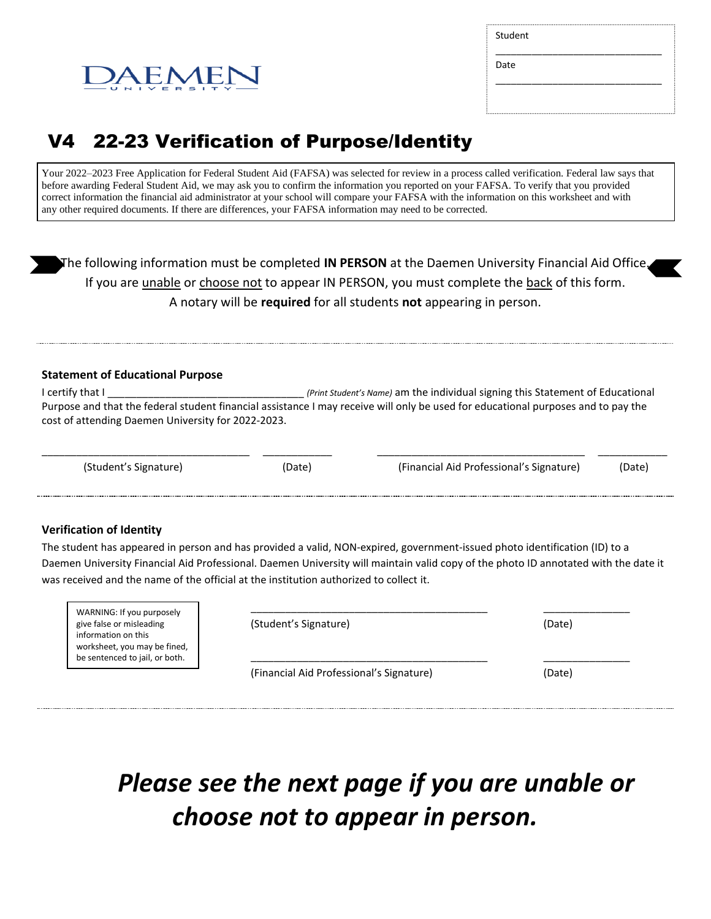

\_\_\_\_\_\_\_\_\_\_\_\_\_\_\_\_\_\_\_\_\_\_\_\_\_\_\_\_\_\_\_\_

\_\_\_\_\_\_\_\_\_\_\_\_\_\_\_\_\_\_\_\_\_\_\_\_\_\_\_\_\_\_\_\_

Date

# EMEN

# V4 22-23 Verification of Purpose/Identity

Your 2022–2023 Free Application for Federal Student Aid (FAFSA) was selected for review in a process called verification. Federal law says that before awarding Federal Student Aid, we may ask you to confirm the information you reported on your FAFSA. To verify that you provided correct information the financial aid administrator at your school will compare your FAFSA with the information on this worksheet and with any other required documents. If there are differences, your FAFSA information may need to be corrected.

The following information must be completed **IN PERSON** at the Daemen University Financial Aid Office. If you are unable or choose not to appear IN PERSON, you must complete the back of this form. A notary will be **required** for all students **not** appearing in person.

### **Statement of Educational Purpose**

I certify that I contained the student of Educational *(Print Student's Name)* am the individual signing this Statement of Educational Purpose and that the federal student financial assistance I may receive will only be used for educational purposes and to pay the cost of attending Daemen University for 2022-2023.

\_\_\_\_\_\_\_\_\_\_\_\_\_\_\_\_\_\_\_\_\_\_\_\_\_\_\_\_\_\_\_\_\_\_\_\_ \_\_\_\_\_\_\_\_\_\_\_\_ \_\_\_\_\_\_\_\_\_\_\_\_\_\_\_\_\_\_\_\_\_\_\_\_\_\_\_\_\_\_\_\_\_\_\_\_ \_\_\_\_\_\_\_\_\_\_\_\_

(Student's Signature) (Date) (Financial Aid Professional's Signature) (Date)

## **Verification of Identity**

The student has appeared in person and has provided a valid, NON-expired, government-issued photo identification (ID) to a Daemen University Financial Aid Professional. Daemen University will maintain valid copy of the photo ID annotated with the date it was received and the name of the official at the institution authorized to collect it.

| WARNING: If you purposely<br>give false or misleading<br>information on this<br>worksheet, you may be fined,<br>be sentenced to jail, or both. | (Student's Signature)                    | (Date) |
|------------------------------------------------------------------------------------------------------------------------------------------------|------------------------------------------|--------|
|                                                                                                                                                | (Financial Aid Professional's Signature) | (Date) |

# *Please see the next page if you are unable or choose not to appear in person.*